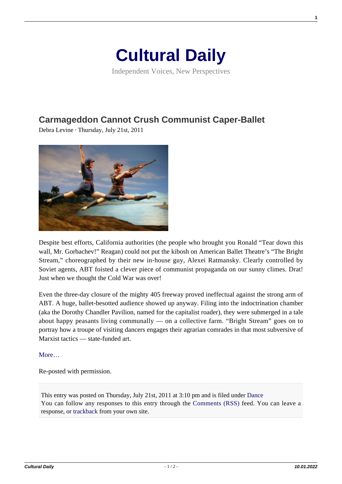## **[Cultural Daily](https://culturaldaily.com/)**

Independent Voices, New Perspectives

## **[Carmageddon Cannot Crush Communist Caper-Ballet](https://culturaldaily.com/carmageddon-cannot-crush-communist-caper-ballet/)**

Debra Levine · Thursday, July 21st, 2011



Despite best efforts, California authorities (the people who brought you Ronald "Tear down this wall, Mr. Gorbachev!" Reagan) could not put the kibosh on American Ballet Theatre's "The Bright Stream," choreographed by their new in-house guy, Alexei Ratmansky. Clearly controlled by Soviet agents, ABT foisted a clever piece of communist propaganda on our sunny climes. Drat! Just when we thought the Cold War was over!

Even the three-day closure of the mighty 405 freeway proved ineffectual against the strong arm of ABT. A huge, ballet-besotted audience showed up anyway. Filing into the indoctrination chamber (aka the Dorothy Chandler Pavilion, named for the capitalist roader), they were submerged in a tale about happy peasants living communally — on a collective farm. "Bright Stream" goes on to portray how a troupe of visiting dancers engages their agrarian comrades in that most subversive of Marxist tactics — state-funded art.

More...

Re-posted with permission.

This entry was posted on Thursday, July 21st, 2011 at 3:10 pm and is filed under [Dance](https://culturaldaily.com/category/performing/dance/) You can follow any responses to this entry through the [Comments \(RSS\)](https://culturaldaily.com/comments/feed/) feed. You can leave a response, or [trackback](https://culturaldaily.com/carmageddon-cannot-crush-communist-caper-ballet/trackback/) from your own site.

**1**